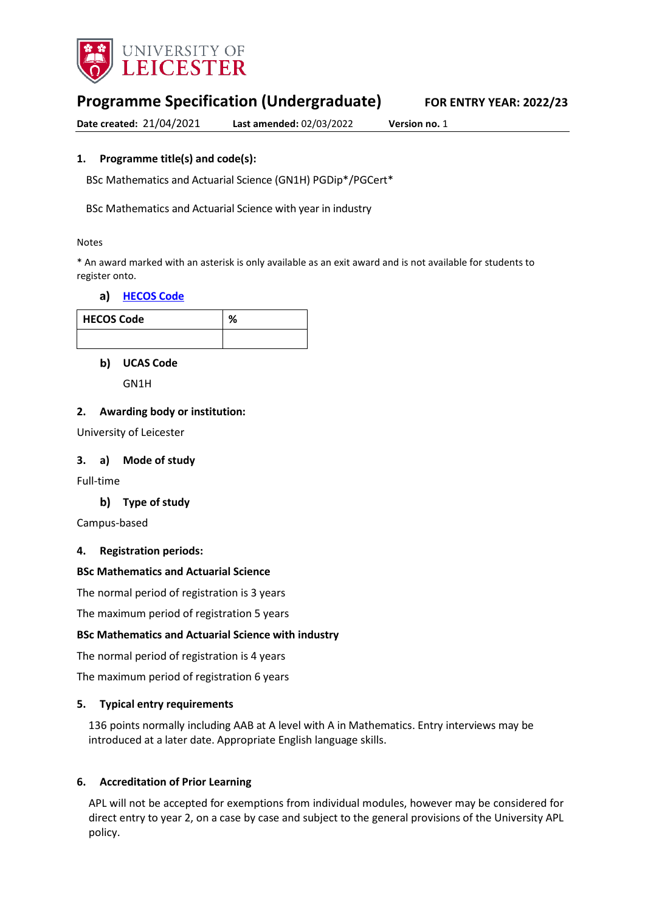

# **Programme Specification (Undergraduate) FOR ENTRY YEAR: 2022/23**

**Date created:** 21/04/2021 **Last amended:** 02/03/2022 **Version no.** 1

## **1. Programme title(s) and code(s):**

BSc Mathematics and Actuarial Science (GN1H) PGDip\*/PGCert\*

BSc Mathematics and Actuarial Science with year in industry

#### Notes

\* An award marked with an asterisk is only available as an exit award and is not available for students to register onto.

### a) [HECOS Code](https://www.hesa.ac.uk/innovation/hecos)

| HECOS Code | 0/ |
|------------|----|
|            |    |

**UCAS Code** 

GN1H

### **2. Awarding body or institution:**

University of Leicester

### **3. a) Mode of study**

Full-time

### **Type of study**

Campus-based

### **4. Registration periods:**

### **BSc Mathematics and Actuarial Science**

The normal period of registration is 3 years

The maximum period of registration 5 years

### **BSc Mathematics and Actuarial Science with industry**

The normal period of registration is 4 years

The maximum period of registration 6 years

### **5. Typical entry requirements**

136 points normally including AAB at A level with A in Mathematics. Entry interviews may be introduced at a later date. Appropriate English language skills.

### **6. Accreditation of Prior Learning**

APL will not be accepted for exemptions from individual modules, however may be considered for direct entry to year 2, on a case by case and subject to the general provisions of the University APL policy.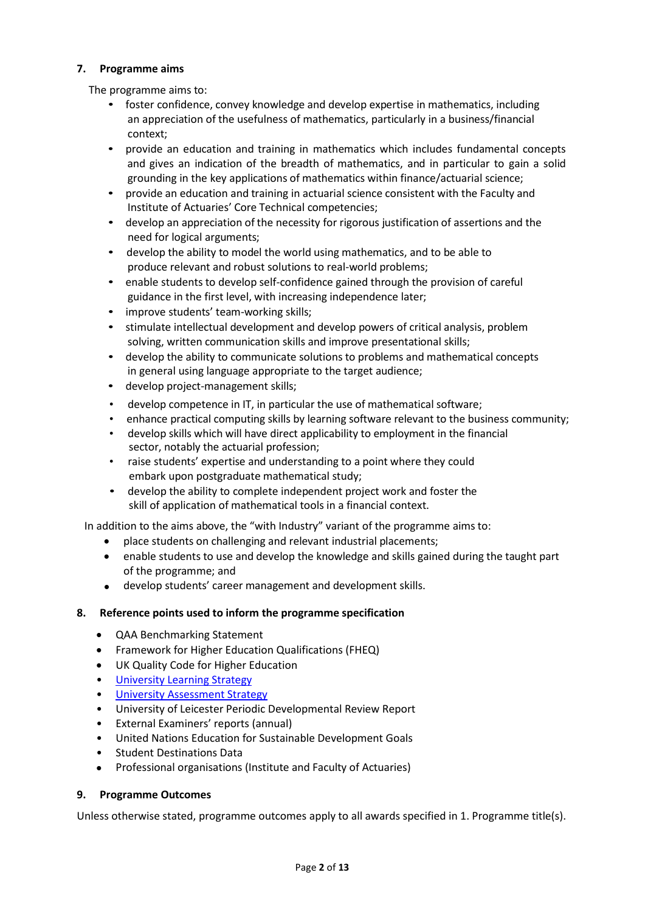### **7. Programme aims**

The programme aims to:

- foster confidence, convey knowledge and develop expertise in mathematics, including an appreciation of the usefulness of mathematics, particularly in a business/financial context;
- provide an education and training in mathematics which includes fundamental concepts and gives an indication of the breadth of mathematics, and in particular to gain a solid grounding in the key applications of mathematics within finance/actuarial science;
- provide an education and training in actuarial science consistent with the Faculty and Institute of Actuaries' Core Technical competencies;
- develop an appreciation of the necessity for rigorous justification of assertions and the need for logical arguments;
- develop the ability to model the world using mathematics, and to be able to produce relevant and robust solutions to real-world problems;
- enable students to develop self-confidence gained through the provision of careful guidance in the first level, with increasing independence later;
- improve students' team-working skills;
- stimulate intellectual development and develop powers of critical analysis, problem solving, written communication skills and improve presentational skills;
- develop the ability to communicate solutions to problems and mathematical concepts in general using language appropriate to the target audience;
- develop project-management skills;
- develop competence in IT, in particular the use of mathematical software;
- enhance practical computing skills by learning software relevant to the business community;
- develop skills which will have direct applicability to employment in the financial sector, notably the actuarial profession;
- raise students' expertise and understanding to a point where they could embark upon postgraduate mathematical study;
- develop the ability to complete independent project work and foster the skill of application of mathematical tools in a financial context.

In addition to the aims above, the "with Industry" variant of the programme aims to:

- place students on challenging and relevant industrial placements;
- enable students to use and develop the knowledge and skills gained during the taught part of the programme; and
- develop students' career management and development skills.

## **8. Reference points used to inform the programme specification**

- QAA Benchmarking Statement
- Framework for Higher Education Qualifications (FHEQ)
- UK Quality Code for Higher Education
- University Learnin[g Strategy](https://www2.le.ac.uk/offices/sas2/quality/learnteach)
- [University Assessment Strategy](https://www2.le.ac.uk/offices/sas2/quality/learnteach)
- University of Leicester Periodic Developmental Review Report
- External Examiners' reports (annual)
- United Nations Education for Sustainable Development Goals
- Student Destinations Data
- Professional organisations (Institute and Faculty of Actuaries)

### **9. Programme Outcomes**

Unless otherwise stated, programme outcomes apply to all awards specified in 1. Programme title(s).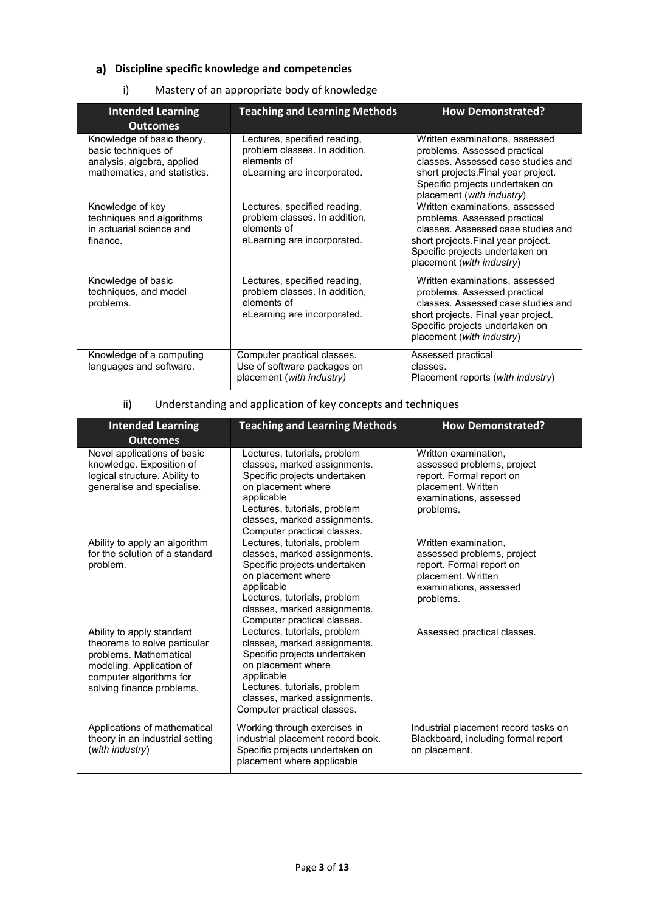## **Discipline specific knowledge and competencies**

## i) Mastery of an appropriate body of knowledge

| <b>Intended Learning</b><br><b>Outcomes</b>                                                                     | <b>Teaching and Learning Methods</b>                                                                        | <b>How Demonstrated?</b>                                                                                                                                                                                    |
|-----------------------------------------------------------------------------------------------------------------|-------------------------------------------------------------------------------------------------------------|-------------------------------------------------------------------------------------------------------------------------------------------------------------------------------------------------------------|
| Knowledge of basic theory,<br>basic techniques of<br>analysis, algebra, applied<br>mathematics, and statistics. | Lectures, specified reading,<br>problem classes. In addition,<br>elements of<br>eLearning are incorporated. | Written examinations, assessed<br>problems. Assessed practical<br>classes. Assessed case studies and<br>short projects. Final year project.<br>Specific projects undertaken on<br>placement (with industry) |
| Knowledge of key<br>techniques and algorithms<br>in actuarial science and<br>finance.                           | Lectures, specified reading,<br>problem classes. In addition,<br>elements of<br>eLearning are incorporated. | Written examinations, assessed<br>problems. Assessed practical<br>classes. Assessed case studies and<br>short projects. Final year project.<br>Specific projects undertaken on<br>placement (with industry) |
| Knowledge of basic<br>techniques, and model<br>problems.                                                        | Lectures, specified reading,<br>problem classes. In addition,<br>elements of<br>eLearning are incorporated. | Written examinations, assessed<br>problems. Assessed practical<br>classes. Assessed case studies and<br>short projects. Final year project.<br>Specific projects undertaken on<br>placement (with industry) |
| Knowledge of a computing<br>languages and software.                                                             | Computer practical classes.<br>Use of software packages on<br>placement (with industry)                     | Assessed practical<br>classes.<br>Placement reports (with industry)                                                                                                                                         |

## ii) Understanding and application of key concepts and techniques

| <b>Intended Learning</b>                                                                                                                                                | <b>Teaching and Learning Methods</b>                                                                                                                                                                                            | <b>How Demonstrated?</b>                                                                                                                    |
|-------------------------------------------------------------------------------------------------------------------------------------------------------------------------|---------------------------------------------------------------------------------------------------------------------------------------------------------------------------------------------------------------------------------|---------------------------------------------------------------------------------------------------------------------------------------------|
| <b>Outcomes</b>                                                                                                                                                         |                                                                                                                                                                                                                                 |                                                                                                                                             |
| Novel applications of basic<br>knowledge. Exposition of<br>logical structure. Ability to<br>generalise and specialise.                                                  | Lectures, tutorials, problem<br>classes, marked assignments.<br>Specific projects undertaken<br>on placement where<br>applicable<br>Lectures, tutorials, problem<br>classes, marked assignments.<br>Computer practical classes. | Written examination.<br>assessed problems, project<br>report. Formal report on<br>placement. Written<br>examinations, assessed<br>problems. |
| Ability to apply an algorithm<br>for the solution of a standard<br>problem.                                                                                             | Lectures, tutorials, problem<br>classes, marked assignments.<br>Specific projects undertaken<br>on placement where<br>applicable<br>Lectures, tutorials, problem<br>classes, marked assignments.<br>Computer practical classes. | Written examination.<br>assessed problems, project<br>report. Formal report on<br>placement. Written<br>examinations, assessed<br>problems. |
| Ability to apply standard<br>theorems to solve particular<br>problems. Mathematical<br>modeling. Application of<br>computer algorithms for<br>solving finance problems. | Lectures, tutorials, problem<br>classes, marked assignments.<br>Specific projects undertaken<br>on placement where<br>applicable<br>Lectures, tutorials, problem<br>classes, marked assignments.<br>Computer practical classes. | Assessed practical classes.                                                                                                                 |
| Applications of mathematical<br>theory in an industrial setting<br>(with industry)                                                                                      | Working through exercises in<br>industrial placement record book.<br>Specific projects undertaken on<br>placement where applicable                                                                                              | Industrial placement record tasks on<br>Blackboard, including formal report<br>on placement.                                                |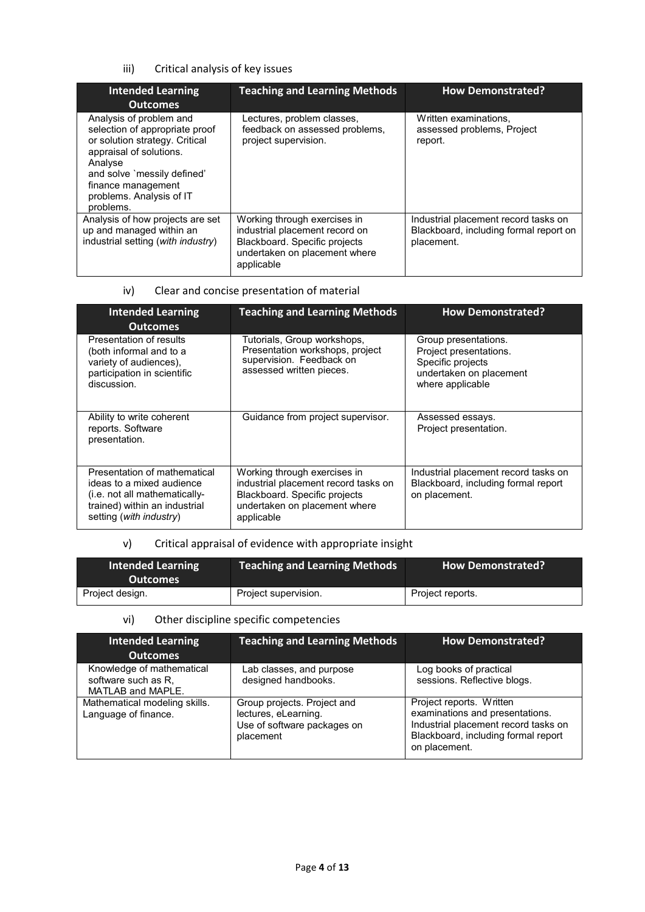### iii) Critical analysis of key issues

| <b>Intended Learning</b><br><b>Outcomes</b>                                                                                                                                                                                     | <b>Teaching and Learning Methods</b>                                                                                                           | <b>How Demonstrated?</b>                                                                     |
|---------------------------------------------------------------------------------------------------------------------------------------------------------------------------------------------------------------------------------|------------------------------------------------------------------------------------------------------------------------------------------------|----------------------------------------------------------------------------------------------|
| Analysis of problem and<br>selection of appropriate proof<br>or solution strategy. Critical<br>appraisal of solutions.<br>Analyse<br>and solve `messily defined'<br>finance management<br>problems. Analysis of IT<br>problems. | Lectures, problem classes,<br>feedback on assessed problems,<br>project supervision.                                                           | Written examinations.<br>assessed problems, Project<br>report.                               |
| Analysis of how projects are set<br>up and managed within an<br>industrial setting (with industry)                                                                                                                              | Working through exercises in<br>industrial placement record on<br>Blackboard. Specific projects<br>undertaken on placement where<br>applicable | Industrial placement record tasks on<br>Blackboard, including formal report on<br>placement. |

## iv) Clear and concise presentation of material

| <b>Intended Learning</b><br><b>Outcomes</b>                                                                                                            | <b>Teaching and Learning Methods</b>                                                                                                                 | <b>How Demonstrated?</b>                                                                                           |
|--------------------------------------------------------------------------------------------------------------------------------------------------------|------------------------------------------------------------------------------------------------------------------------------------------------------|--------------------------------------------------------------------------------------------------------------------|
| Presentation of results<br>(both informal and to a<br>variety of audiences),<br>participation in scientific<br>discussion.                             | Tutorials, Group workshops,<br>Presentation workshops, project<br>supervision. Feedback on<br>assessed written pieces.                               | Group presentations.<br>Project presentations.<br>Specific projects<br>undertaken on placement<br>where applicable |
| Ability to write coherent<br>reports. Software<br>presentation.                                                                                        | Guidance from project supervisor.                                                                                                                    | Assessed essays.<br>Project presentation.                                                                          |
| Presentation of mathematical<br>ideas to a mixed audience<br>(i.e. not all mathematically-<br>trained) within an industrial<br>setting (with industry) | Working through exercises in<br>industrial placement record tasks on<br>Blackboard. Specific projects<br>undertaken on placement where<br>applicable | Industrial placement record tasks on<br>Blackboard, including formal report<br>on placement.                       |

## v) Critical appraisal of evidence with appropriate insight

| <b>Intended Learning</b><br><b>Outcomes</b> | Teaching and Learning Methods | <b>How Demonstrated?</b> |
|---------------------------------------------|-------------------------------|--------------------------|
| Project design.                             | Project supervision.          | Project reports.         |

## vi) Other discipline specific competencies

| <b>Intended Learning</b><br><b>Outcomes</b>                           | <b>Teaching and Learning Methods</b>                                                            | <b>How Demonstrated?</b>                                                                                                                                    |
|-----------------------------------------------------------------------|-------------------------------------------------------------------------------------------------|-------------------------------------------------------------------------------------------------------------------------------------------------------------|
| Knowledge of mathematical<br>software such as R,<br>MATLAB and MAPLE. | Lab classes, and purpose<br>designed handbooks.                                                 | Log books of practical<br>sessions. Reflective blogs.                                                                                                       |
| Mathematical modeling skills.<br>Language of finance.                 | Group projects. Project and<br>lectures, eLearning.<br>Use of software packages on<br>placement | Project reports. Written<br>examinations and presentations.<br>Industrial placement record tasks on<br>Blackboard, including formal report<br>on placement. |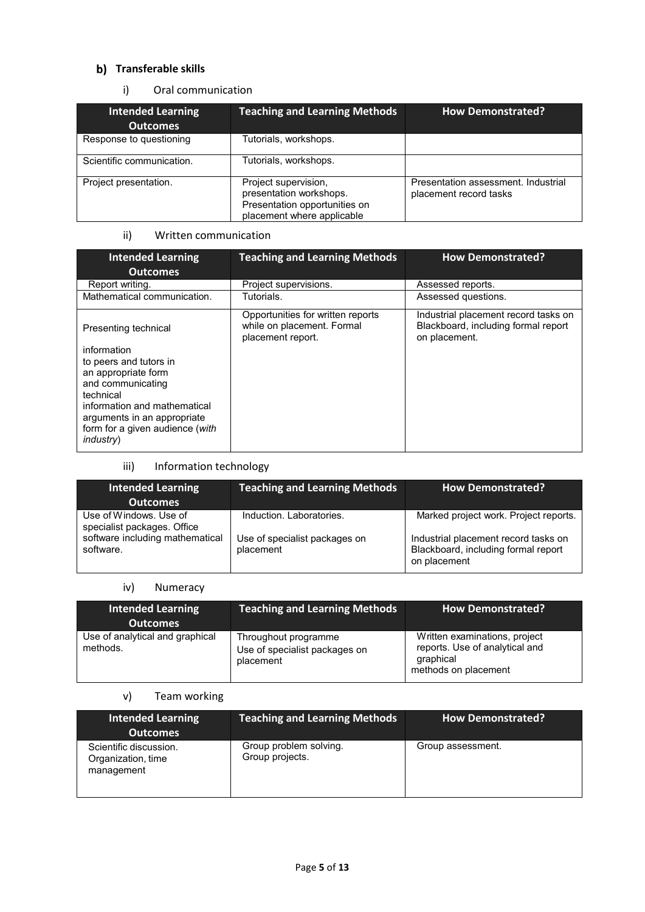## **Transferable skills**

### i) Oral communication

| <b>Intended Learning</b><br><b>Outcomes</b> | <b>Teaching and Learning Methods</b>                                                                           | <b>How Demonstrated?</b>                                      |
|---------------------------------------------|----------------------------------------------------------------------------------------------------------------|---------------------------------------------------------------|
| Response to questioning                     | Tutorials, workshops.                                                                                          |                                                               |
| Scientific communication.                   | Tutorials, workshops.                                                                                          |                                                               |
| Project presentation.                       | Project supervision,<br>presentation workshops.<br>Presentation opportunities on<br>placement where applicable | Presentation assessment. Industrial<br>placement record tasks |

### ii) Written communication

| <b>Intended Learning</b><br><b>Outcomes</b>                                                                                                                                                                           | <b>Teaching and Learning Methods</b>                                                 | <b>How Demonstrated?</b>                                                                     |
|-----------------------------------------------------------------------------------------------------------------------------------------------------------------------------------------------------------------------|--------------------------------------------------------------------------------------|----------------------------------------------------------------------------------------------|
| Report writing.                                                                                                                                                                                                       | Project supervisions.                                                                | Assessed reports.                                                                            |
| Mathematical communication.                                                                                                                                                                                           | Tutorials.                                                                           | Assessed questions.                                                                          |
| Presenting technical                                                                                                                                                                                                  | Opportunities for written reports<br>while on placement. Formal<br>placement report. | Industrial placement record tasks on<br>Blackboard, including formal report<br>on placement. |
| information<br>to peers and tutors in<br>an appropriate form<br>and communicating<br>technical<br>information and mathematical<br>arguments in an appropriate<br>form for a given audience (with<br><i>industry</i> ) |                                                                                      |                                                                                              |

### iii) Information technology

| <b>Intended Learning</b><br><b>Outcomes</b>                                              | <b>Teaching and Learning Methods</b>                      | <b>How Demonstrated?</b>                                                      |
|------------------------------------------------------------------------------------------|-----------------------------------------------------------|-------------------------------------------------------------------------------|
| Use of Windows. Use of<br>specialist packages. Office<br>software including mathematical | Induction, Laboratories,<br>Use of specialist packages on | Marked project work. Project reports.<br>Industrial placement record tasks on |
| software.                                                                                | placement                                                 | Blackboard, including formal report<br>on placement                           |

### iv) Numeracy

| <b>Intended Learning</b><br><b>Outcomes</b> | <b>Teaching and Learning Methods</b>                               | <b>How Demonstrated?</b>                                                                             |
|---------------------------------------------|--------------------------------------------------------------------|------------------------------------------------------------------------------------------------------|
| Use of analytical and graphical<br>methods. | Throughout programme<br>Use of specialist packages on<br>placement | Written examinations, project<br>reports. Use of analytical and<br>graphical<br>methods on placement |

## v) Team working

| <b>Intended Learning</b><br><b>Outcomes</b>                | <b>Teaching and Learning Methods</b>      | <b>How Demonstrated?</b> |
|------------------------------------------------------------|-------------------------------------------|--------------------------|
| Scientific discussion.<br>Organization, time<br>management | Group problem solving.<br>Group projects. | Group assessment.        |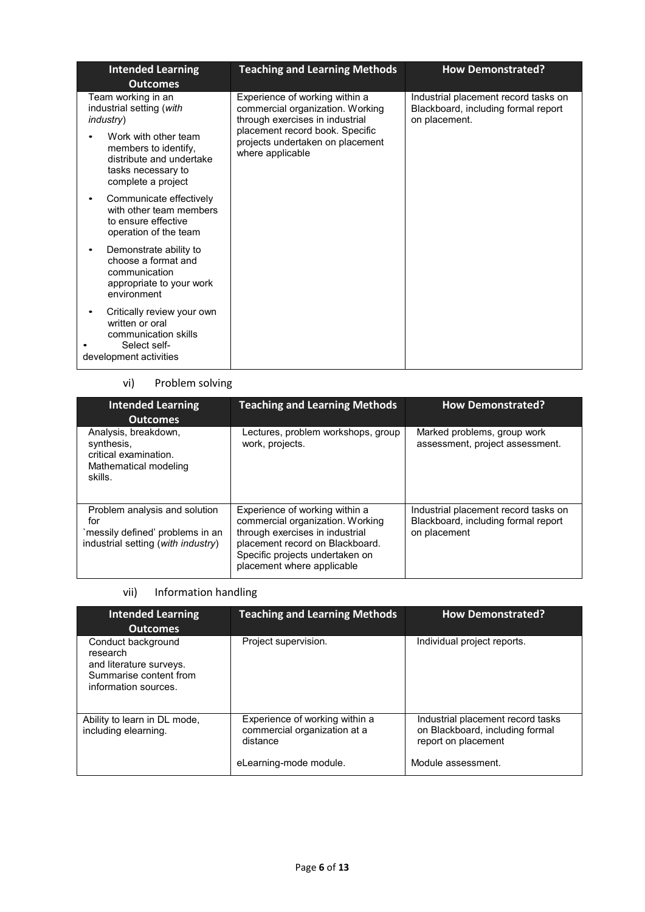| <b>Intended Learning</b><br><b>Outcomes</b>                                                                          | <b>Teaching and Learning Methods</b>                                                                  | <b>How Demonstrated?</b>                                                                     |
|----------------------------------------------------------------------------------------------------------------------|-------------------------------------------------------------------------------------------------------|----------------------------------------------------------------------------------------------|
| Team working in an<br>industrial setting (with<br><i>industry</i> )                                                  | Experience of working within a<br>commercial organization. Working<br>through exercises in industrial | Industrial placement record tasks on<br>Blackboard, including formal report<br>on placement. |
| Work with other team<br>members to identify,<br>distribute and undertake<br>tasks necessary to<br>complete a project | placement record book. Specific<br>projects undertaken on placement<br>where applicable               |                                                                                              |
| Communicate effectively<br>with other team members<br>to ensure effective<br>operation of the team                   |                                                                                                       |                                                                                              |
| Demonstrate ability to<br>choose a format and<br>communication<br>appropriate to your work<br>environment            |                                                                                                       |                                                                                              |
| Critically review your own<br>written or oral<br>communication skills<br>Select self-<br>development activities      |                                                                                                       |                                                                                              |

## vi) Problem solving

| <b>Intended Learning</b><br><b>Outcomes</b>                                                                    | <b>Teaching and Learning Methods</b>                                                                                                                                                                      | <b>How Demonstrated?</b>                                                                    |
|----------------------------------------------------------------------------------------------------------------|-----------------------------------------------------------------------------------------------------------------------------------------------------------------------------------------------------------|---------------------------------------------------------------------------------------------|
| Analysis, breakdown,<br>synthesis,<br>critical examination.<br>Mathematical modeling<br>skills.                | Lectures, problem workshops, group<br>work, projects.                                                                                                                                                     | Marked problems, group work<br>assessment, project assessment.                              |
| Problem analysis and solution<br>for<br>`messily defined' problems in an<br>industrial setting (with industry) | Experience of working within a<br>commercial organization. Working<br>through exercises in industrial<br>placement record on Blackboard.<br>Specific projects undertaken on<br>placement where applicable | Industrial placement record tasks on<br>Blackboard, including formal report<br>on placement |

# vii) Information handling

| <b>Intended Learning</b><br><b>Outcomes</b>                                                                 | <b>Teaching and Learning Methods</b>                                                                 | <b>How Demonstrated?</b>                                                                                          |
|-------------------------------------------------------------------------------------------------------------|------------------------------------------------------------------------------------------------------|-------------------------------------------------------------------------------------------------------------------|
| Conduct background<br>research<br>and literature surveys.<br>Summarise content from<br>information sources. | Project supervision.                                                                                 | Individual project reports.                                                                                       |
| Ability to learn in DL mode,<br>including elearning.                                                        | Experience of working within a<br>commercial organization at a<br>distance<br>eLearning-mode module. | Industrial placement record tasks<br>on Blackboard, including formal<br>report on placement<br>Module assessment. |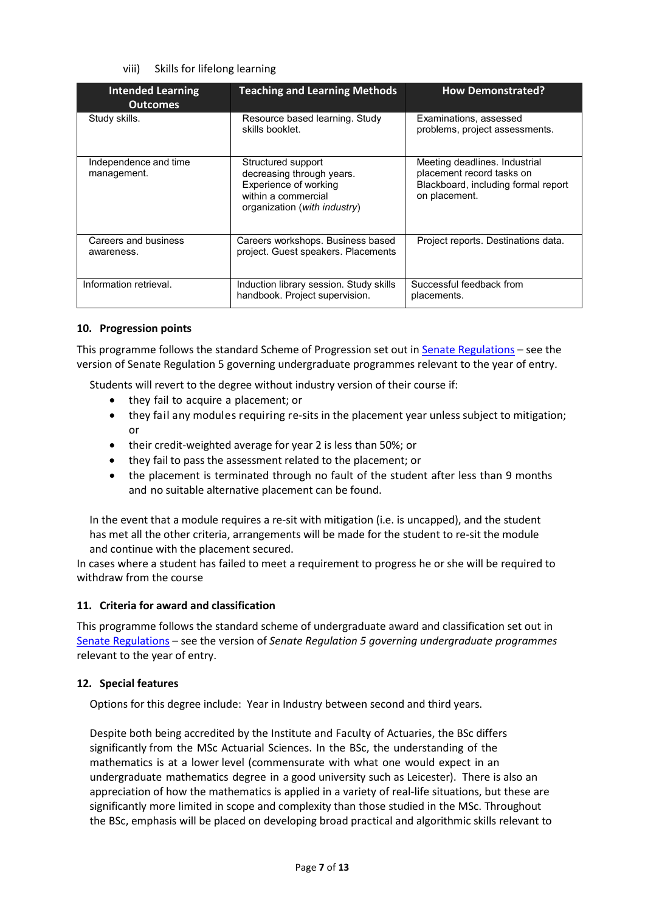viii) Skills for lifelong learning

| <b>Intended Learning</b><br><b>Outcomes</b> | <b>Teaching and Learning Methods</b>                                                                                            | <b>How Demonstrated?</b>                                                                                           |
|---------------------------------------------|---------------------------------------------------------------------------------------------------------------------------------|--------------------------------------------------------------------------------------------------------------------|
| Study skills.                               | Resource based learning. Study<br>skills booklet.                                                                               | Examinations, assessed<br>problems, project assessments.                                                           |
| Independence and time<br>management.        | Structured support<br>decreasing through years.<br>Experience of working<br>within a commercial<br>organization (with industry) | Meeting deadlines. Industrial<br>placement record tasks on<br>Blackboard, including formal report<br>on placement. |
| Careers and business<br>awareness.          | Careers workshops. Business based<br>project. Guest speakers. Placements                                                        | Project reports. Destinations data.                                                                                |
| Information retrieval.                      | Induction library session. Study skills<br>handbook. Project supervision.                                                       | Successful feedback from<br>placements.                                                                            |

### **10. Progression points**

This programme follows the standard Scheme of Progression set out i[n Senate Regulations](http://www.le.ac.uk/senate-regulations) – see the version of Senate Regulation 5 governing undergraduate programmes relevant to the year of entry.

Students will revert to the degree without industry version of their course if:

- they fail to acquire a placement; or
- they fail any modules requiring re-sits in the placement year unless subject to mitigation; or
- their credit-weighted average for year 2 is less than 50%; or
- they fail to pass the assessment related to the placement; or
- the placement is terminated through no fault of the student after less than 9 months and no suitable alternative placement can be found.

In the event that a module requires a re-sit with mitigation (i.e. is uncapped), and the student has met all the other criteria, arrangements will be made for the student to re-sit the module and continue with the placement secured.

In cases where a student has failed to meet a requirement to progress he or she will be required to withdraw from the course

### **11. Criteria for award and classification**

This programme follows the standard scheme of undergraduate award and classification set out in [Senate Regulations](http://www.le.ac.uk/senate-regulations) – see the version of *Senate Regulation 5 governing undergraduate programmes* relevant to the year of entry.

### **12. Special features**

Options for this degree include: Year in Industry between second and third years.

Despite both being accredited by the Institute and Faculty of Actuaries, the BSc differs significantly from the MSc Actuarial Sciences. In the BSc, the understanding of the mathematics is at a lower level (commensurate with what one would expect in an undergraduate mathematics degree in a good university such as Leicester). There is also an appreciation of how the mathematics is applied in a variety of real-life situations, but these are significantly more limited in scope and complexity than those studied in the MSc. Throughout the BSc, emphasis will be placed on developing broad practical and algorithmic skills relevant to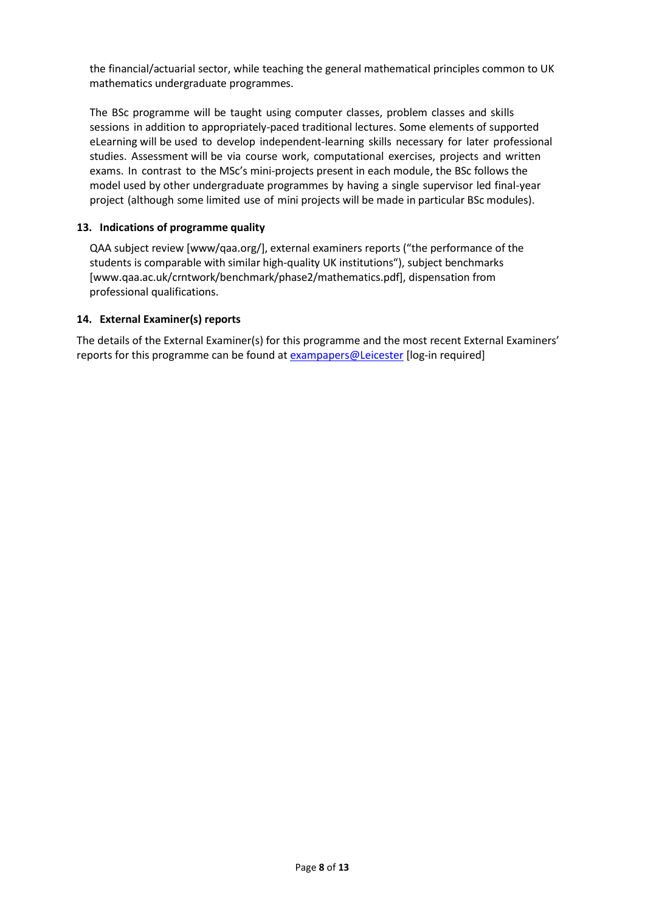the financial/actuarial sector, while teaching the general mathematical principles common to UK mathematics undergraduate programmes.

The BSc programme will be taught using computer classes, problem classes and skills sessions in addition to appropriately-paced traditional lectures. Some elements of supported eLearning will be used to develop independent-learning skills necessary for later professional studies. Assessment will be via course work, computational exercises, projects and written exams. In contrast to the MSc's mini-projects present in each module, the BSc follows the model used by other undergraduate programmes by having a single supervisor led final-year project (although some limited use of mini projects will be made in particular BSc modules).

### **13. Indications of programme quality**

QAA subject review [www/qaa.org/], external examiners reports ("the performance of the students is comparable with similar high-quality UK institutions"), subject benchmark[s](http://www.qaa.ac.uk/crntwork/benchmark/phase2/mathematics.pdf) [\[www.qaa.ac.uk/crntwork/benchmark/phase2/mathematics.pdf\],](http://www.qaa.ac.uk/crntwork/benchmark/phase2/mathematics.pdf) dispensation from professional qualifications.

### **14. External Examiner(s) reports**

The details of the External Examiner(s) for this programme and the most recent External Examiners' reports for this programme can be found at [exampapers@Leicester](https://exampapers.le.ac.uk/) [log-in required]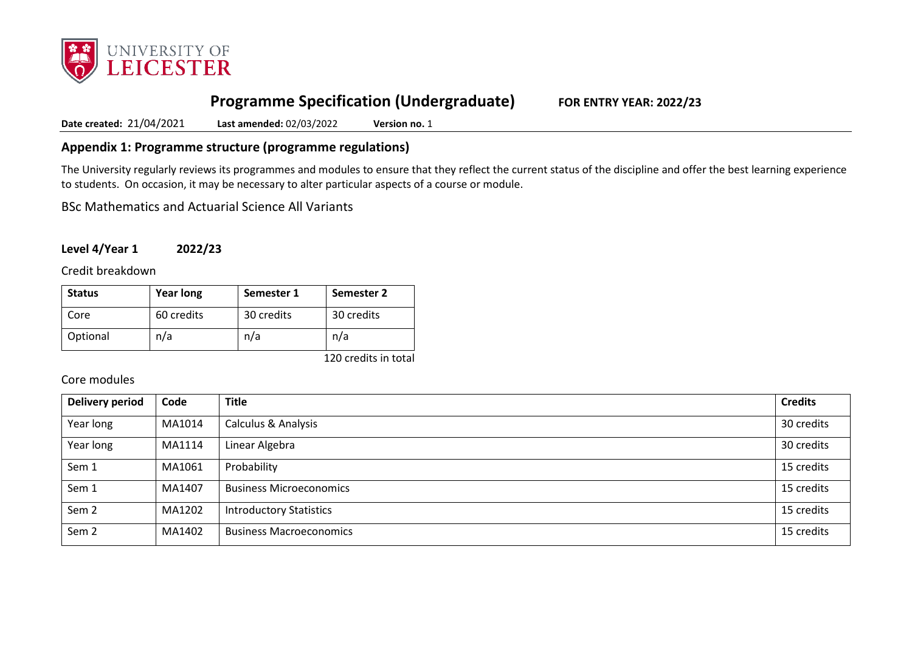

# **Programme Specification (Undergraduate) FOR ENTRY YEAR: 2022/23**

**Date created:** 21/04/2021 **Last amended:** 02/03/2022 **Version no.** 1

## **Appendix 1: Programme structure (programme regulations)**

The University regularly reviews its programmes and modules to ensure that they reflect the current status of the discipline and offer the best learning experience to students. On occasion, it may be necessary to alter particular aspects of a course or module.

BSc Mathematics and Actuarial Science All Variants

## **Level 4/Year 1 2022/23**

Credit breakdown

| <b>Status</b> | <b>Year long</b> | Semester 1 | Semester 2 |
|---------------|------------------|------------|------------|
| Core          | 60 credits       | 30 credits | 30 credits |
| Optional      | n/a              | n/a        | n/a        |

120 credits in total

## Core modules

| <b>Delivery period</b> | Code   | <b>Title</b>                   | <b>Credits</b> |
|------------------------|--------|--------------------------------|----------------|
| Year long              | MA1014 | <b>Calculus &amp; Analysis</b> | 30 credits     |
| Year long              | MA1114 | Linear Algebra                 | 30 credits     |
| Sem 1                  | MA1061 | Probability                    | 15 credits     |
| Sem 1                  | MA1407 | <b>Business Microeconomics</b> | 15 credits     |
| Sem <sub>2</sub>       | MA1202 | <b>Introductory Statistics</b> | 15 credits     |
| Sem <sub>2</sub>       | MA1402 | <b>Business Macroeconomics</b> | 15 credits     |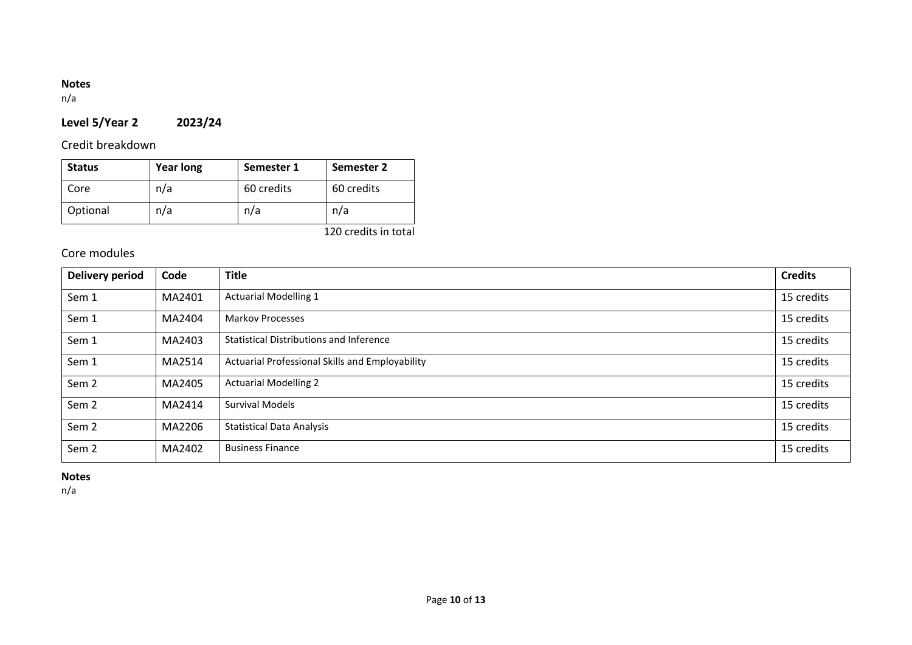## **Notes**

n/a

# **Level 5/Year 2 2023/24**

Credit breakdown

| <b>Status</b> | <b>Year long</b> | Semester 1 | Semester 2 |
|---------------|------------------|------------|------------|
| Core          | n/a              | 60 credits | 60 credits |
| Optional      | n/a              | n/a        | n/a        |

120 credits in total

## Core modules

| <b>Delivery period</b> | Code   | <b>Title</b>                                    | <b>Credits</b> |
|------------------------|--------|-------------------------------------------------|----------------|
| Sem 1                  | MA2401 | <b>Actuarial Modelling 1</b>                    | 15 credits     |
| Sem 1                  | MA2404 | <b>Markov Processes</b>                         | 15 credits     |
| Sem 1                  | MA2403 | Statistical Distributions and Inference         | 15 credits     |
| Sem 1                  | MA2514 | Actuarial Professional Skills and Employability | 15 credits     |
| Sem <sub>2</sub>       | MA2405 | <b>Actuarial Modelling 2</b>                    | 15 credits     |
| Sem <sub>2</sub>       | MA2414 | <b>Survival Models</b>                          | 15 credits     |
| Sem 2                  | MA2206 | <b>Statistical Data Analysis</b>                | 15 credits     |
| Sem <sub>2</sub>       | MA2402 | <b>Business Finance</b>                         | 15 credits     |

**Notes**

n/a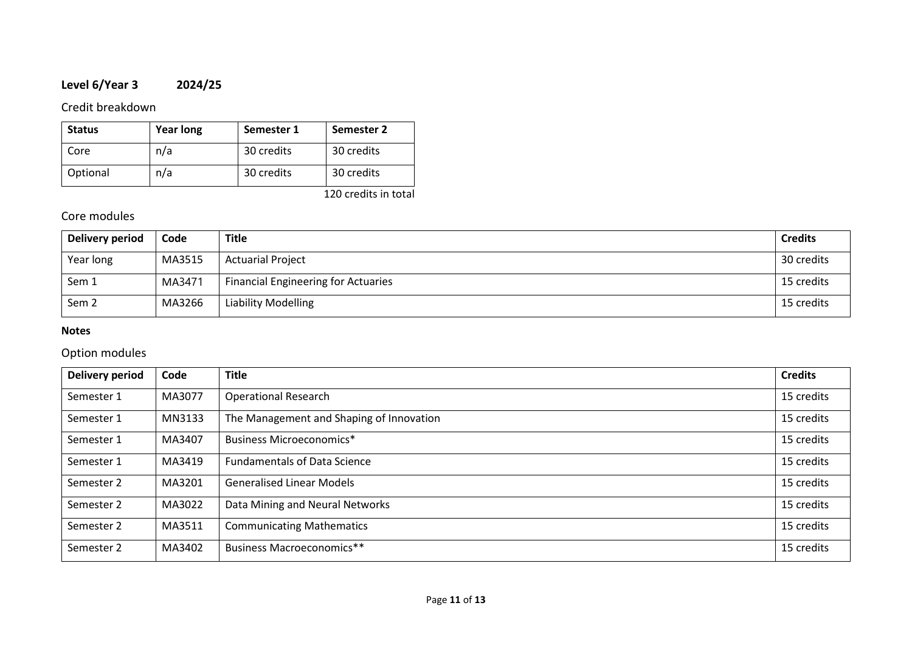# **Level 6/Year 3 2024/25**

## Credit breakdown

| <b>Status</b> | <b>Year long</b> | Semester 1 | Semester 2 |
|---------------|------------------|------------|------------|
| Core          | n/a              | 30 credits | 30 credits |
| Optional      | n/a              | 30 credits | 30 credits |

120 credits in total

## Core modules

| Delivery period  | Code   | <b>Title</b>                               | <b>Credits</b> |
|------------------|--------|--------------------------------------------|----------------|
| Year long        | MA3515 | <b>Actuarial Project</b>                   | 30 credits     |
| Sem 1            | MA3471 | <b>Financial Engineering for Actuaries</b> | 15 credits     |
| Sem <sub>2</sub> | MA3266 | <b>Liability Modelling</b>                 | 15 credits     |

## **Notes**

# Option modules

| <b>Delivery period</b> | Code   | <b>Title</b>                             | <b>Credits</b> |
|------------------------|--------|------------------------------------------|----------------|
| Semester 1             | MA3077 | <b>Operational Research</b>              | 15 credits     |
| Semester 1             | MN3133 | The Management and Shaping of Innovation | 15 credits     |
| Semester 1             | MA3407 | Business Microeconomics*                 | 15 credits     |
| Semester 1             | MA3419 | <b>Fundamentals of Data Science</b>      | 15 credits     |
| Semester 2             | MA3201 | <b>Generalised Linear Models</b>         | 15 credits     |
| Semester 2             | MA3022 | Data Mining and Neural Networks          | 15 credits     |
| Semester 2             | MA3511 | <b>Communicating Mathematics</b>         | 15 credits     |
| Semester 2             | MA3402 | Business Macroeconomics**                | 15 credits     |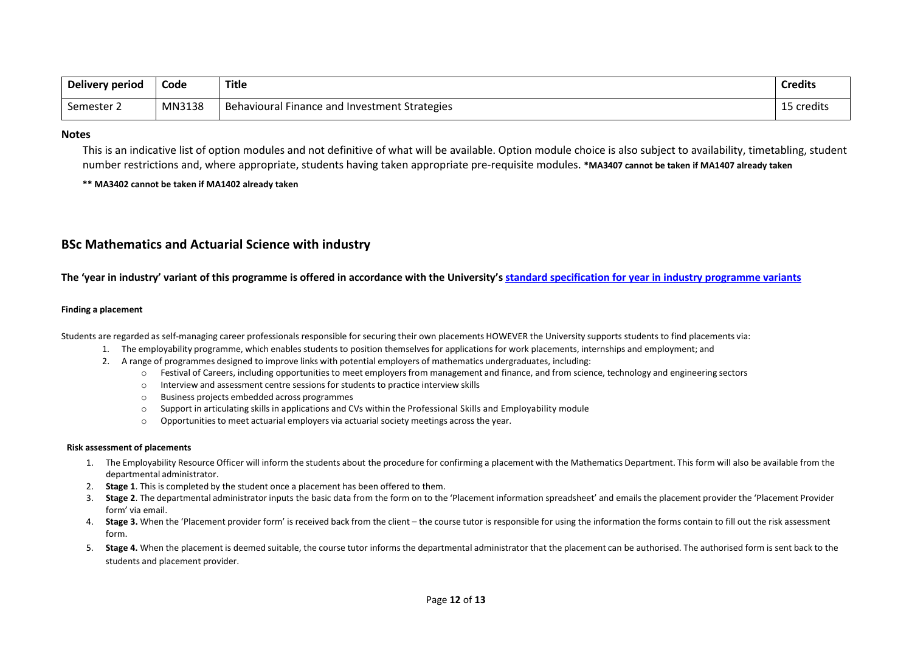| Delivery period | Code   | Title                                         | <b>Credits</b> |
|-----------------|--------|-----------------------------------------------|----------------|
| Semester 2      | MN3138 | Behavioural Finance and Investment Strategies | 15 credits     |

#### **Notes**

This is an indicative list of option modules and not definitive of what will be available. Option module choice is also subject to availability, timetabling, student number restrictions and, where appropriate, students having taken appropriate pre-requisite modules. **\*MA3407 cannot be taken if MA1407 already taken**

**\*\* MA3402 cannot be taken if MA1402 already taken**

## **BSc Mathematics and Actuarial Science with industry**

**The 'year in industry' variant of this programme is offered in accordance with the University'[s standard specification for year in industry programme variants](https://www2.le.ac.uk/offices/sas2/courses/documentation/undergraduate-programme-specification-content-for-year-in-industry-programme-variants)**

#### **Finding a placement**

Students are regarded as self-managing career professionals responsible for securing their own placements HOWEVER the University supports students to find placements via:

- 1. The employability programme, which enables students to position themselvesfor applications for work placements, internships and employment; and
- 2. A range of programmes designed to improve links with potential employers of mathematics undergraduates, including:
	- o Festival of Careers, including opportunities to meet employersfrom management and finance, and from science, technology and engineering sectors
	- o Interview and assessment centre sessions for students to practice interview skills
	- o Business projects embedded across programmes
	- $\circ$  Support in articulating skills in applications and CVs within the Professional Skills and Employability module
	- $\circ$  Opportunities to meet actuarial employers via actuarial society meetings across the year.

#### **Risk assessment of placements**

- 1. The Employability Resource Officer will inform the students about the procedure for confirming a placement with the Mathematics Department. This form will also be available from the departmental administrator.
- 2. **Stage 1**. This is completed by the student once a placement has been offered to them.
- 3. **Stage 2**. The departmental administrator inputs the basic data from the form on to the 'Placement information spreadsheet' and emails the placement provider the 'Placement Provider form' via email.
- 4. **Stage 3.** When the 'Placement provider form' is received back from the client the course tutor is responsible for using the information the forms contain to fill out the risk assessment form.
- 5. **Stage 4.** When the placement is deemed suitable, the course tutor informs the departmental administrator that the placement can be authorised. The authorised form is sent back to the students and placement provider.